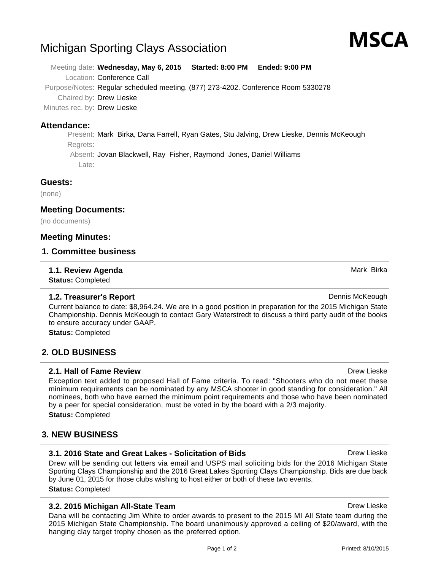# Michigan Sporting Clays Association

Meeting date: **Wednesday, May 6, 2015 Started: 8:00 PM Ended: 9:00 PM**

Location: Conference Call

Purpose/Notes: Regular scheduled meeting. (877) 273-4202. Conference Room 5330278

Chaired by: Drew Lieske

Minutes rec. by: Drew Lieske

# **Attendance:**

Present: Mark Birka, Dana Farrell, Ryan Gates, Stu Jalving, Drew Lieske, Dennis McKeough Regrets:

Absent: Jovan Blackwell, Ray Fisher, Raymond Jones, Daniel Williams Late:

# **Guests:**

(none)

# **Meeting Documents:**

(no documents)

# **Meeting Minutes:**

# **1. Committee business**

# **1.1. Review Agenda** Mark Birka Birka Birka Birka Birka Birka Birka Birka Birka Birka Birka Birka Birka Birka Birka

**Status:** Completed

# **1.2. Treasurer's Report Dennis McKeough Dennis McKeough Dennis McKeough**

Current balance to date: \$8,964.24. We are in a good position in preparation for the 2015 Michigan State Championship. Dennis McKeough to contact Gary Waterstredt to discuss a third party audit of the books to ensure accuracy under GAAP.

**Status:** Completed

# **2. OLD BUSINESS**

# **2.1. Hall of Fame Review Drew Lieske Drew Lieske Drew Lieske**

Exception text added to proposed Hall of Fame criteria. To read: "Shooters who do not meet these minimum requirements can be nominated by any MSCA shooter in good standing for consideration." All nominees, both who have earned the minimum point requirements and those who have been nominated by a peer for special consideration, must be voted in by the board with a 2/3 majority.

**Status:** Completed

# **3. NEW BUSINESS**

# **3.1. 2016 State and Great Lakes - Solicitation of Bids** Drew Lieske

Drew will be sending out letters via email and USPS mail soliciting bids for the 2016 Michigan State Sporting Clays Championship and the 2016 Great Lakes Sporting Clays Championship. Bids are due back by June 01, 2015 for those clubs wishing to host either or both of these two events. **Status:** Completed

# **3.2. 2015 Michigan All-State Team** Drew Lieske Controller and Drew Lieske

Dana will be contacting Jim White to order awards to present to the 2015 MI All State team during the 2015 Michigan State Championship. The board unanimously approved a ceiling of \$20/award, with the hanging clay target trophy chosen as the preferred option.

# MSCA